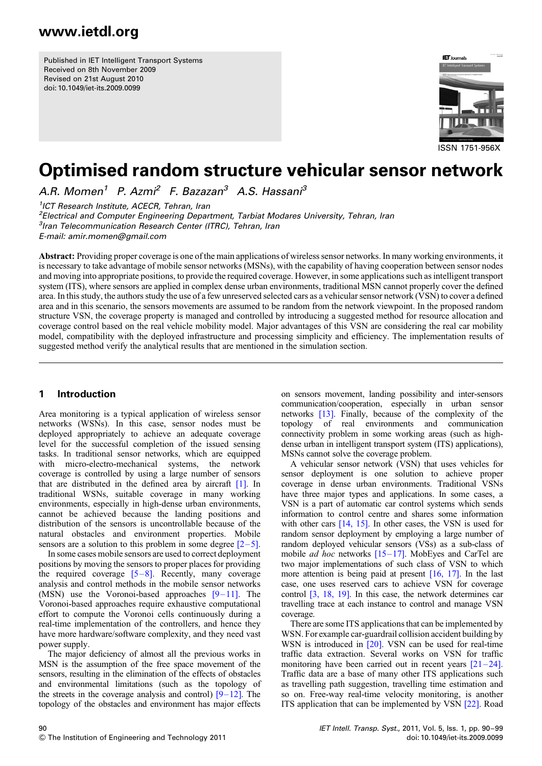Published in IET Intelligent Transport Systems Received on 8th November 2009 Revised on 21st August 2010 doi: 10.1049/iet-its.2009.0099



# Optimised random structure vehicular sensor network

A.R. Momen<sup>1</sup> P. Azmi<sup>2</sup> F. Bazazan<sup>3</sup> A.S. Hassani<sup>3</sup>

1 ICT Research Institute, ACECR, Tehran, Iran

<sup>2</sup>Electrical and Computer Engineering Department, Tarbiat Modares University, Tehran, Iran <sup>3</sup>Iran Telecommunication Research Center (ITRC), Tehran, Iran

E-mail: amir.momen@gmail.com

Abstract: Providing proper coverage is one of the main applications of wireless sensor networks. In many working environments, it is necessary to take advantage of mobile sensor networks (MSNs), with the capability of having cooperation between sensor nodes and moving into appropriate positions, to provide the required coverage. However, in some applications such as intelligent transport system (ITS), where sensors are applied in complex dense urban environments, traditional MSN cannot properly cover the defined area. In this study, the authors study the use of a few unreserved selected cars as a vehicular sensor network (VSN) to cover a defined area and in this scenario, the sensors movements are assumed to be random from the network viewpoint. In the proposed random structure VSN, the coverage property is managed and controlled by introducing a suggested method for resource allocation and coverage control based on the real vehicle mobility model. Major advantages of this VSN are considering the real car mobility model, compatibility with the deployed infrastructure and processing simplicity and efficiency. The implementation results of suggested method verify the analytical results that are mentioned in the simulation section.

#### 1 Introduction

Area monitoring is a typical application of wireless sensor networks (WSNs). In this case, sensor nodes must be deployed appropriately to achieve an adequate coverage level for the successful completion of the issued sensing tasks. In traditional sensor networks, which are equipped with micro-electro-mechanical systems, the network coverage is controlled by using a large number of sensors that are distributed in the defined area by aircraft [1]. In traditional WSNs, suitable coverage in many working environments, especially in high-dense urban environments, cannot be achieved because the landing positions and distribution of the sensors is uncontrollable because of the natural obstacles and environment properties. Mobile sensors are a solution to this problem in some degree  $[2-5]$ .

In some cases mobile sensors are used to correct deployment positions by moving the sensors to proper places for providing the required coverage  $[5-8]$ . Recently, many coverage analysis and control methods in the mobile sensor networks (MSN) use the Voronoi-based approaches  $[9-11]$ . The Voronoi-based approaches require exhaustive computational effort to compute the Voronoi cells continuously during a real-time implementation of the controllers, and hence they have more hardware/software complexity, and they need vast power supply.

The major deficiency of almost all the previous works in MSN is the assumption of the free space movement of the sensors, resulting in the elimination of the effects of obstacles and environmental limitations (such as the topology of the streets in the coverage analysis and control)  $[9-12]$ . The topology of the obstacles and environment has major effects on sensors movement, landing possibility and inter-sensors communication/cooperation, especially in urban sensor networks [13]. Finally, because of the complexity of the topology of real environments and communication connectivity problem in some working areas (such as highdense urban in intelligent transport system (ITS) applications), MSNs cannot solve the coverage problem.

A vehicular sensor network (VSN) that uses vehicles for sensor deployment is one solution to achieve proper coverage in dense urban environments. Traditional VSNs have three major types and applications. In some cases, a VSN is a part of automatic car control systems which sends information to control centre and shares some information with other cars [14, 15]. In other cases, the VSN is used for random sensor deployment by employing a large number of random deployed vehicular sensors (VSs) as a sub-class of mobile *ad hoc* networks [15–17]. MobEyes and CarTel are two major implementations of such class of VSN to which more attention is being paid at present [16, 17]. In the last case, one uses reserved cars to achieve VSN for coverage control [3, 18, 19]. In this case, the network determines car travelling trace at each instance to control and manage VSN coverage.

There are some ITS applications that can be implemented by WSN. For example car-guardrail collision accident building by WSN is introduced in [20]. VSN can be used for real-time traffic data extraction. Several works on VSN for traffic monitoring have been carried out in recent years  $[21-24]$ . Traffic data are a base of many other ITS applications such as travelling path suggestion, travelling time estimation and so on. Free-way real-time velocity monitoring, is another ITS application that can be implemented by VSN [22]. Road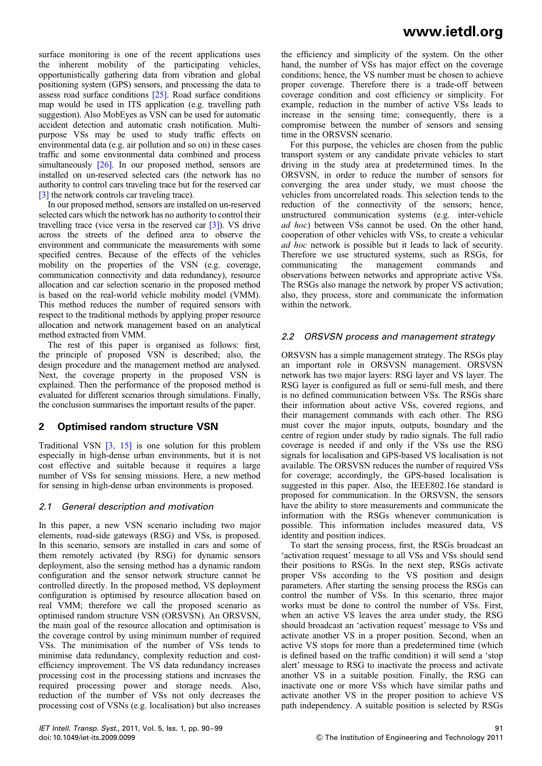surface monitoring is one of the recent applications uses the inherent mobility of the participating vehicles, opportunistically gathering data from vibration and global positioning system (GPS) sensors, and processing the data to assess road surface conditions [25]. Road surface conditions map would be used in ITS application (e.g. travelling path suggestion). Also MobEyes as VSN can be used for automatic accident detection and automatic crash notification. Multipurpose VSs may be used to study traffic effects on environmental data (e.g. air pollution and so on) in these cases traffic and some environmental data combined and process simultaneously [26]. In our proposed method, sensors are installed on un-reserved selected cars (the network has no authority to control cars traveling trace but for the reserved car [3] the network controls car traveling trace).

In our proposed method, sensors are installed on un-reserved selected cars which the network has no authority to control their travelling trace (vice versa in the reserved car [3]). VS drive across the streets of the defined area to observe the environment and communicate the measurements with some specified centres. Because of the effects of the vehicles mobility on the properties of the VSN (e.g. coverage, communication connectivity and data redundancy), resource allocation and car selection scenario in the proposed method is based on the real-world vehicle mobility model (VMM). This method reduces the number of required sensors with respect to the traditional methods by applying proper resource allocation and network management based on an analytical method extracted from VMM.

The rest of this paper is organised as follows: first, the principle of proposed VSN is described; also, the design procedure and the management method are analysed. Next, the coverage property in the proposed VSN is explained. Then the performance of the proposed method is evaluated for different scenarios through simulations. Finally, the conclusion summarises the important results of the paper.

### 2 Optimised random structure VSN

Traditional VSN [3, 15] is one solution for this problem especially in high-dense urban environments, but it is not cost effective and suitable because it requires a large number of VSs for sensing missions. Here, a new method for sensing in high-dense urban environments is proposed.

#### 2.1 General description and motivation

In this paper, a new VSN scenario including two major elements, road-side gateways (RSG) and VSs, is proposed. In this scenario, sensors are installed in cars and some of them remotely activated (by RSG) for dynamic sensors deployment, also the sensing method has a dynamic random configuration and the sensor network structure cannot be controlled directly. In the proposed method, VS deployment configuration is optimised by resource allocation based on real VMM; therefore we call the proposed scenario as optimised random structure VSN (ORSVSN). An ORSVSN, the main goal of the resource allocation and optimisation is the coverage control by using minimum number of required VSs. The minimisation of the number of VSs tends to minimise data redundancy, complexity reduction and costefficiency improvement. The VS data redundancy increases processing cost in the processing stations and increases the required processing power and storage needs. Also, reduction of the number of VSs not only decreases the processing cost of VSNs (e.g. localisation) but also increases

the efficiency and simplicity of the system. On the other hand, the number of VSs has major effect on the coverage conditions; hence, the VS number must be chosen to achieve proper coverage. Therefore there is a trade-off between coverage condition and cost efficiency or simplicity. For example, reduction in the number of active VSs leads to increase in the sensing time; consequently, there is a compromise between the number of sensors and sensing time in the ORSVSN scenario.

For this purpose, the vehicles are chosen from the public transport system or any candidate private vehicles to start driving in the study area at predetermined times. In the ORSVSN, in order to reduce the number of sensors for converging the area under study, we must choose the vehicles from uncorrelated roads. This selection tends to the reduction of the connectivity of the sensors; hence, unstructured communication systems (e.g. inter-vehicle ad hoc) between VSs cannot be used. On the other hand, cooperation of other vehicles with VSs, to create a vehicular ad hoc network is possible but it leads to lack of security. Therefore we use structured systems, such as RSGs, for communicating the management commands and observations between networks and appropriate active VSs. The RSGs also manage the network by proper VS activation; also, they process, store and communicate the information within the network.

#### 2.2 ORSVSN process and management strategy

ORSVSN has a simple management strategy. The RSGs play an important role in ORSVSN management. ORSVSN network has two major layers: RSG layer and VS layer. The RSG layer is configured as full or semi-full mesh, and there is no defined communication between VSs. The RSGs share their information about active VSs, covered regions, and their management commands with each other. The RSG must cover the major inputs, outputs, boundary and the centre of region under study by radio signals. The full radio coverage is needed if and only if the VSs use the RSG signals for localisation and GPS-based VS localisation is not available. The ORSVSN reduces the number of required VSs for coverage; accordingly, the GPS-based localisation is suggested in this paper. Also, the IEEE802.16e standard is proposed for communication. In the ORSVSN, the sensors have the ability to store measurements and communicate the information with the RSGs whenever communication is possible. This information includes measured data, VS identity and position indices.

To start the sensing process, first, the RSGs broadcast an 'activation request' message to all VSs and VSs should send their positions to RSGs. In the next step, RSGs activate proper VSs according to the VS position and design parameters. After starting the sensing process the RSGs can control the number of VSs. In this scenario, three major works must be done to control the number of VSs. First, when an active VS leaves the area under study, the RSG should broadcast an 'activation request' message to VSs and activate another VS in a proper position. Second, when an active VS stops for more than a predetermined time (which is defined based on the traffic condition) it will send a 'stop alert' message to RSG to inactivate the process and activate another VS in a suitable position. Finally, the RSG can inactivate one or more VSs which have similar paths and activate another VS in the proper position to achieve VS path independency. A suitable position is selected by RSGs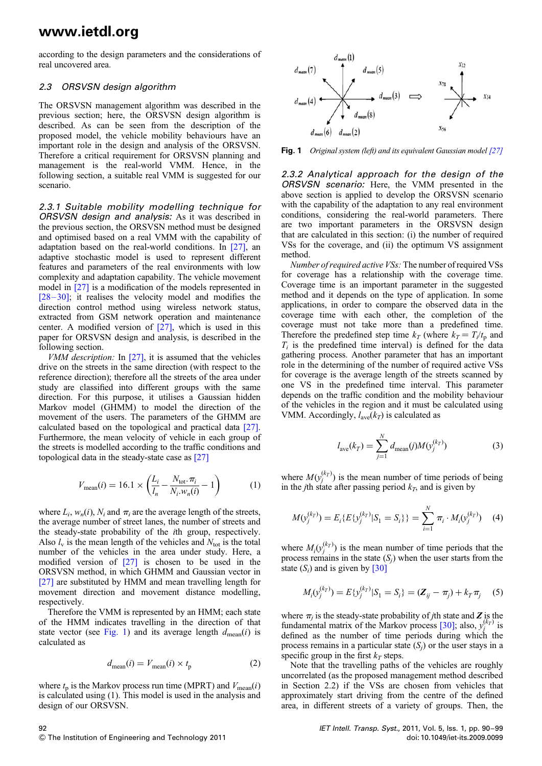according to the design parameters and the considerations of real uncovered area.

#### 2.3 ORSVSN design algorithm

The ORSVSN management algorithm was described in the previous section; here, the ORSVSN design algorithm is described. As can be seen from the description of the proposed model, the vehicle mobility behaviours have an important role in the design and analysis of the ORSVSN. Therefore a critical requirement for ORSVSN planning and management is the real-world VMM. Hence, in the following section, a suitable real VMM is suggested for our scenario.

2.3.1 Suitable mobility modelling technique for ORSVSN design and analysis: As it was described in the previous section, the ORSVSN method must be designed and optimised based on a real VMM with the capability of adaptation based on the real-world conditions. In [27], an adaptive stochastic model is used to represent different features and parameters of the real environments with low complexity and adaptation capability. The vehicle movement model in [27] is a modification of the models represented in  $[28-30]$ ; it realises the velocity model and modifies the direction control method using wireless network status, extracted from GSM network operation and maintenance center. A modified version of [27], which is used in this paper for ORSVSN design and analysis, is described in the following section.

VMM description: In  $[27]$ , it is assumed that the vehicles drive on the streets in the same direction (with respect to the reference direction); therefore all the streets of the area under study are classified into different groups with the same direction. For this purpose, it utilises a Gaussian hidden Markov model (GHMM) to model the direction of the movement of the users. The parameters of the GHMM are calculated based on the topological and practical data [27]. Furthermore, the mean velocity of vehicle in each group of the streets is modelled according to the traffic conditions and topological data in the steady-state case as [27]

$$
V_{\text{mean}}(i) = 16.1 \times \left(\frac{L_i}{l_n} - \frac{N_{\text{tot}} \cdot \pi_i}{N_i \cdot w_n(i)} - 1\right) \tag{1}
$$

where  $L_i$ ,  $w_n(i)$ ,  $N_i$  and  $\pi_i$  are the average length of the streets, the average number of street lanes, the number of streets and the steady-state probability of the ith group, respectively. Also  $l_v$  is the mean length of the vehicles and  $N_{\text{tot}}$  is the total number of the vehicles in the area under study. Here, a modified version of  $[27]$  is chosen to be used in the ORSVSN method, in which GHMM and Gaussian vector in [27] are substituted by HMM and mean travelling length for movement direction and movement distance modelling, respectively.

Therefore the VMM is represented by an HMM; each state of the HMM indicates travelling in the direction of that state vector (see Fig. 1) and its average length  $d_{\text{mean}}(i)$  is calculated as

$$
d_{\text{mean}}(i) = V_{\text{mean}}(i) \times t_{\text{p}} \tag{2}
$$

where  $t_p$  is the Markov process run time (MPRT) and  $V_{\text{mean}}(i)$ is calculated using (1). This model is used in the analysis and design of our ORSVSN.



**Fig. 1** Original system (left) and its equivalent Gaussian model  $[27]$ 

2.3.2 Analytical approach for the design of the ORSVSN scenario: Here, the VMM presented in the above section is applied to develop the ORSVSN scenario with the capability of the adaptation to any real environment conditions, considering the real-world parameters. There are two important parameters in the ORSVSN design that are calculated in this section: (i) the number of required VSs for the coverage, and (ii) the optimum VS assignment method.

Number of required active VSs: The number of required VSs for coverage has a relationship with the coverage time. Coverage time is an important parameter in the suggested method and it depends on the type of application. In some applications, in order to compare the observed data in the coverage time with each other, the completion of the coverage must not take more than a predefined time. Therefore the predefined step time  $k_T$  (where  $k_T = T_i/t_p$  and  $T<sub>i</sub>$  is the predefined time interval) is defined for the data gathering process. Another parameter that has an important role in the determining of the number of required active VSs for coverage is the average length of the streets scanned by one VS in the predefined time interval. This parameter depends on the traffic condition and the mobility behaviour of the vehicles in the region and it must be calculated using VMM. Accordingly,  $l_{ave}(k_T)$  is calculated as

$$
l_{\text{ave}}(k_T) = \sum_{j=1}^{N} d_{\text{mean}}(j) M(y_j^{(k_T)})
$$
 (3)

where  $M(y_j^{(k_T)})$  is the mean number of time periods of being in the *j*th state after passing period  $k_T$ , and is given by

$$
M(y_j^{(k_T)}) = E_i\{E\{y_j^{(k_T)}|S_1 = S_i\}\} = \sum_{i=1}^N \pi_i \cdot M_i(y_j^{(k_T)}) \quad (4)
$$

where  $M_i(y_j^{(k_T)})$  is the mean number of time periods that the process remains in the state  $(S_i)$  when the user starts from the state  $(S_i)$  and is given by [30]

$$
M_i(y_j^{(k_T)}) = E\{y_j^{(k_T)}|S_1 = S_i\} = (\mathbf{Z}_{ij} - \pi_j) + k_T \pi_j \quad (5)
$$

where  $\pi_i$  is the steady-state probability of *j*th state and **Z** is the fundamental matrix of the Markov process [30]; also,  $y_j^{(k_T)}$  is defined as the number of time periods during which the process remains in a particular state  $(S_i)$  or the user stays in a specific group in the first  $k_T$  steps.

Note that the travelling paths of the vehicles are roughly uncorrelated (as the proposed management method described in Section 2.2) if the VSs are chosen from vehicles that approximately start driving from the centre of the defined area, in different streets of a variety of groups. Then, the

92 IET Intell. Transp. Syst., 2011, Vol. 5, Iss. 1, pp. 90–99 © The Institution of Engineering and Technology 2011 doi: 10.1049/iet-its.2009.0099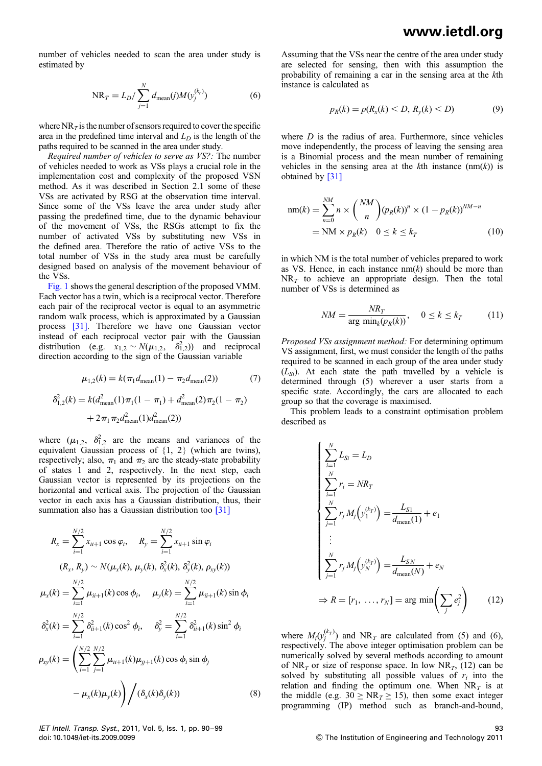number of vehicles needed to scan the area under study is estimated by

$$
NR_T = L_D / \sum_{j=1}^{N} d_{\text{mean}}(j) M(y_j^{(k_r)})
$$
(6)

where  $NR<sub>T</sub>$  is the number of sensors required to cover the specific area in the predefined time interval and  $L<sub>D</sub>$  is the length of the paths required to be scanned in the area under study.

Required number of vehicles to serve as VS?: The number of vehicles needed to work as VSs plays a crucial role in the implementation cost and complexity of the proposed VSN method. As it was described in Section 2.1 some of these VSs are activated by RSG at the observation time interval. Since some of the VSs leave the area under study after passing the predefined time, due to the dynamic behaviour of the movement of VSs, the RSGs attempt to fix the number of activated VSs by substituting new VSs in the defined area. Therefore the ratio of active VSs to the total number of VSs in the study area must be carefully designed based on analysis of the movement behaviour of the VSs.

Fig. 1 shows the general description of the proposed VMM. Each vector has a twin, which is a reciprocal vector. Therefore each pair of the reciprocal vector is equal to an asymmetric random walk process, which is approximated by a Gaussian process [31]. Therefore we have one Gaussian vector instead of each reciprocal vector pair with the Gaussian distribution (e.g.  $x_{1,2} \sim N(\mu_{1,2}, \ \ \alpha_{1,2}^2)$ ) and reciprocal direction according to the sign of the Gaussian variable

$$
\mu_{1,2}(k) = k(\pi_1 d_{\text{mean}}(1) - \pi_2 d_{\text{mean}}(2))
$$
 (7)

$$
\delta_{1,2}^2(k) = k(d_{\text{mean}}^2(1)\pi_1(1-\pi_1) + d_{\text{mean}}^2(2)\pi_2(1-\pi_2) + 2\pi_1\pi_2d_{\text{mean}}^2(1)d_{\text{mean}}^2(2))
$$

where  $(\mu_{1,2}, \delta_{1,2}^2$  are the means and variances of the equivalent Gaussian process of {1, 2} (which are twins), respectively; also,  $\pi_1$  and  $\pi_2$  are the steady-state probability of states 1 and 2, respectively. In the next step, each Gaussian vector is represented by its projections on the horizontal and vertical axis. The projection of the Gaussian vector in each axis has a Gaussian distribution, thus, their summation also has a Gaussian distribution too [31]

$$
R_{x} = \sum_{i=1}^{N/2} x_{ii+1} \cos \varphi_{i}, \quad R_{y} = \sum_{i=1}^{N/2} x_{ii+1} \sin \varphi_{i}
$$
  
\n
$$
(R_{x}, R_{y}) \sim N(\mu_{x}(k), \mu_{y}(k), \delta_{x}^{2}(k), \delta_{y}^{2}(k), \rho_{xy}(k))
$$
  
\n
$$
\mu_{x}(k) = \sum_{i=1}^{N/2} \mu_{ii+1}(k) \cos \phi_{i}, \quad \mu_{y}(k) = \sum_{i=1}^{N/2} \mu_{ii+1}(k) \sin \phi_{i}
$$
  
\n
$$
\delta_{x}^{2}(k) = \sum_{i=1}^{N/2} \delta_{ii+1}^{2}(k) \cos^{2} \phi_{i}, \quad \delta_{y}^{2} = \sum_{i=1}^{N/2} \delta_{ii+1}^{2}(k) \sin^{2} \phi_{i}
$$
  
\n
$$
\rho_{xy}(k) = \left(\sum_{i=1}^{N/2} \sum_{j=1}^{N/2} \mu_{ii+1}(k) \mu_{jj+1}(k) \cos \phi_{i} \sin \phi_{j} - \mu_{x}(k) \mu_{y}(k)\right) / (\delta_{x}(k)\delta_{y}(k))
$$
  
\n(8)

IET Intell. Transp. Syst., 2011, Vol. 5, Iss. 1, pp. 90–99 93

Assuming that the VSs near the centre of the area under study are selected for sensing, then with this assumption the probability of remaining a car in the sensing area at the kth instance is calculated as

$$
p_R(k) = p(R_x(k) < D, R_y(k) < D) \tag{9}
$$

where  $D$  is the radius of area. Furthermore, since vehicles move independently, the process of leaving the sensing area is a Binomial process and the mean number of remaining vehicles in the sensing area at the kth instance  $(nm(k))$  is obtained by [31]

$$
\begin{aligned} \text{nm}(k) &= \sum_{n=0}^{NM} n \times \binom{NM}{n} (p_R(k))^n \times (1 - p_R(k))^{NM-n} \\ &= \text{NM} \times p_R(k) \quad 0 \le k \le k_T \end{aligned} \tag{10}
$$

in which NM is the total number of vehicles prepared to work as VS. Hence, in each instance  $nm(k)$  should be more than  $NR<sub>T</sub>$  to achieve an appropriate design. Then the total number of VSs is determined as

$$
NM = \frac{NR_T}{\arg \min_k(p_R(k))}, \quad 0 \le k \le k_T \tag{11}
$$

Proposed VSs assignment method: For determining optimum VS assignment, first, we must consider the length of the paths required to be scanned in each group of the area under study  $(L_{Si})$ . At each state the path travelled by a vehicle is determined through (5) wherever a user starts from a specific state. Accordingly, the cars are allocated to each group so that the coverage is maximised.

This problem leads to a constraint optimisation problem described as

$$
\begin{cases}\n\sum_{i=1}^{N} L_{Si} = L_D \\
\sum_{i=1}^{N} r_i = NR_T \\
\sum_{j=1}^{N} r_j M_j \left( y_1^{(k_T)} \right) = \frac{L_{S1}}{d_{\text{mean}}(1)} + e_1 \\
\vdots \\
\sum_{j=1}^{N} r_j M_j \left( y_N^{(k_T)} \right) = \frac{L_{SN}}{d_{\text{mean}}(N)} + e_N \\
\Rightarrow R = [r_1, \dots, r_N] = \arg \min \left( \sum_j e_j^2 \right)\n\end{cases}
$$
\n(12)

where  $M_i(y_j^{(k_T)})$  and NR<sub>T</sub> are calculated from (5) and (6), respectively. The above integer optimisation problem can be numerically solved by several methods according to amount of NR<sub>T</sub> or size of response space. In low NR<sub>T</sub>, (12) can be solved by substituting all possible values of  $r_i$  into the relation and finding the optimum one. When  $NR_T$  is at the middle (e.g.  $30 \ge NR_T \ge 15$ ), then some exact integer programming (IP) method such as branch-and-bound,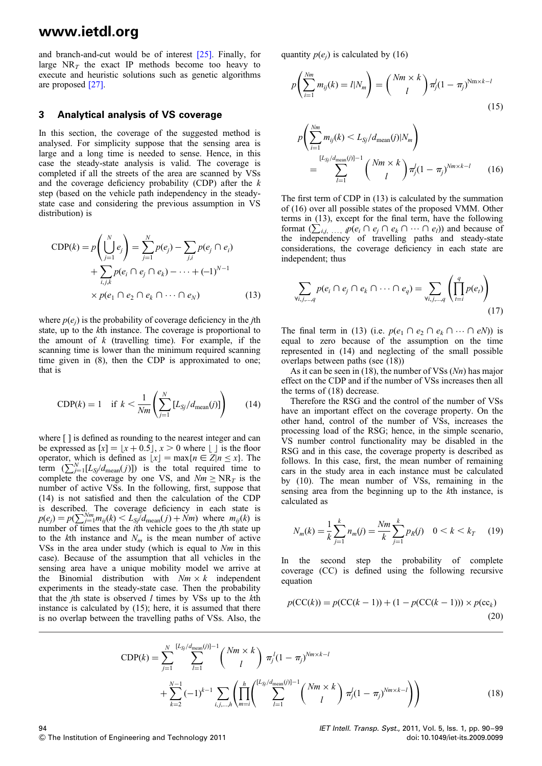and branch-and-cut would be of interest [25]. Finally, for large  $NR_T$  the exact IP methods become too heavy to execute and heuristic solutions such as genetic algorithms are proposed [27].

#### 3 Analytical analysis of VS coverage

In this section, the coverage of the suggested method is analysed. For simplicity suppose that the sensing area is large and a long time is needed to sense. Hence, in this case the steady-state analysis is valid. The coverage is completed if all the streets of the area are scanned by VSs and the coverage deficiency probability (CDP) after the  $k$ step (based on the vehicle path independency in the steadystate case and considering the previous assumption in VS distribution) is

$$
CDP(k) = p\left(\bigcup_{j=1}^{N} e_j\right) = \sum_{j=1}^{N} p(e_j) - \sum_{j,i} p(e_j \cap e_i)
$$
  
+ 
$$
\sum_{i,j,k} p(e_i \cap e_j \cap e_k) - \dots + (-1)^{N-1}
$$
  
× 
$$
p(e_1 \cap e_2 \cap e_k \cap \dots \cap e_N)
$$
 (13)

where  $p(e_i)$  is the probability of coverage deficiency in the *j*th state, up to the kth instance. The coverage is proportional to the amount of  $k$  (travelling time). For example, if the scanning time is lower than the minimum required scanning time given in (8), then the CDP is approximated to one; that is

$$
CDP(k) = 1 \quad \text{if } k < \frac{1}{Nm} \left( \sum_{j=1}^{N} [L_{Sj} / d_{\text{mean}}(j)] \right) \tag{14}
$$

where [ ] is defined as rounding to the nearest integer and can be expressed as  $[x] = \lfloor x + 0.5 \rfloor, x > 0$  where  $\lfloor \rfloor$  is the floor operator, which is defined as  $\lfloor x \rfloor = \max\{n \in \mathbb{Z} | n \leq x\}$ . The term  $(\sum_{j=1}^{N} [L_{Sj}/d_{\text{mean}}(j)])$  is the total required time to complete the coverage by one VS, and  $Nm \geq NR_T$  is the number of active VSs. In the following, first, suppose that (14) is not satisfied and then the calculation of the CDP is described. The coverage deficiency in each state is  $p(e_j) = p(\sum_{j=1}^{Nm} m_{ij}(k) < L_{sj}/d_{\text{mean}}(j) + Nm)$  where  $m_{ij}(k)$  is number of times that the *i*th vehicle goes to the *j*th state up to the kth instance and  $N_m$  is the mean number of active VSs in the area under study (which is equal to Nm in this case). Because of the assumption that all vehicles in the sensing area have a unique mobility model we arrive at the Binomial distribution with  $Nm \times k$  independent experiments in the steady-state case. Then the probability that the  $i$ th state is observed  $l$  times by VSs up to the  $k$ th instance is calculated by (15); here, it is assumed that there is no overlap between the travelling paths of VSs. Also, the

quantity  $p(e_i)$  is calculated by (16)

$$
p\left(\sum_{i=1}^{Nm} m_{ij}(k) = l | N_m\right) = \binom{Nm \times k}{l} \pi_j^l (1 - \pi_j)^{Nm \times k - l}
$$
\n(15)

$$
p\left(\sum_{i=1}^{Nm} m_{ij}(k) < L_{Sj}/d_{\text{mean}}(j)|N_m\right) \\
= \sum_{l=1}^{[L_{Sj}/d_{\text{mean}}(j)]-1} {Nm \times k \choose l} \pi_j^l (1 - \pi_j)^{Nm \times k-l} \tag{16}
$$

The first term of CDP in (13) is calculated by the summation of (16) over all possible states of the proposed VMM. Other terms in (13), except for the final term, have the following format  $(\sum_{i,j, \ldots, p(e_i \cap e_j \cap e_k \cap \cdots \cap e_l))$  and because of the independency of travelling paths and steady-state considerations, the coverage deficiency in each state are independent; thus

$$
\sum_{\forall i,j,\dots,q} p(e_i \cap e_j \cap e_k \cap \dots \cap e_q) = \sum_{\forall i,j,\dots,q} \left( \prod_{t=i}^q p(e_t) \right)
$$
\n(17)

The final term in (13) (i.e.  $p(e_1 \cap e_2 \cap e_k \cap \cdots \cap e_N)$ ) is equal to zero because of the assumption on the time represented in (14) and neglecting of the small possible overlaps between paths (see (18))

As it can be seen in (18), the number of VSs  $(Nn)$  has major effect on the CDP and if the number of VSs increases then all the terms of (18) decrease.

Therefore the RSG and the control of the number of VSs have an important effect on the coverage property. On the other hand, control of the number of VSs, increases the processing load of the RSG; hence, in the simple scenario, VS number control functionality may be disabled in the RSG and in this case, the coverage property is described as follows. In this case, first, the mean number of remaining cars in the study area in each instance must be calculated by (10). The mean number of VSs, remaining in the sensing area from the beginning up to the kth instance, is calculated as

$$
N_m(k) = \frac{1}{k} \sum_{j=1}^k n_m(j) = \frac{Nm}{k} \sum_{j=1}^k p_R(j) \quad 0 < k < k \tag{19}
$$

In the second step the probability of complete coverage (CC) is defined using the following recursive equation

$$
p(CC(k)) = p(CC(k-1)) + (1 - p(CC(k-1))) \times p(cc_k)
$$
\n(20)

$$
CDP(k) = \sum_{j=1}^{N} \sum_{l=1}^{[L_{Sj}/d_{mean}(j)]-1} {Nm \times k \choose l} \pi_j^{l} (1 - \pi_j)^{Nm \times k-l}
$$
  
+ 
$$
\sum_{k=2}^{N-1} (-1)^{k-1} \sum_{i,j,\dots,h} \left( \prod_{m=i}^{h} \left( \sum_{j=1}^{[L_{Sj}/d_{mean}(j)]-1} {Nm \times k \choose l} \pi_j^{l} (1 - \pi_j)^{Nm \times k-l} \right) \right)
$$
(18)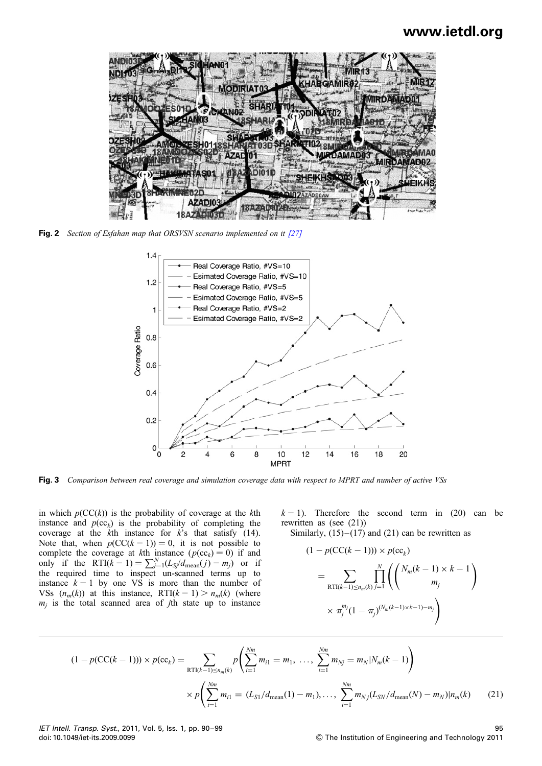

Fig. 2 Section of Esfahan map that ORSVSN scenario implemented on it [27]



Fig. 3 Comparison between real coverage and simulation coverage data with respect to MPRT and number of active VSs

in which  $p(CC(k))$  is the probability of coverage at the kth instance and  $p(cc_k)$  is the probability of completing the coverage at the kth instance for  $k$ 's that satisfy (14). Note that, when  $p(CC(k-1)) = 0$ , it is not possible to complete the coverage at kth instance  $(p(cc_k) = 0)$  if and only if the RTI $(k-1) = \sum_{j=1}^{N} (L_{S}/d_{\text{mean}}(j) - m_j)$  or if the required time to inspect un-scanned terms up to instance  $k - 1$  by one VS is more than the number of VSs  $(n_m(k))$  at this instance, RTI $(k-1) > n_m(k)$  (where  $m_i$  is the total scanned area of *j*th state up to instance

 $k - 1$ ). Therefore the second term in (20) can be rewritten as (see (21))

Similarly,  $(15)$ – $(17)$  and  $(21)$  can be rewritten as

$$
(1 - p(CC(k-1))) \times p(cc_k)
$$
  
= 
$$
\sum_{\text{RTI}(k-1) \le n_m(k)} \prod_{j=1}^N \left( \binom{N_m(k-1) \times k-1}{m_j} \right)
$$
  

$$
\times \pi_j^{m_j} (1 - \pi_j)^{(N_m(k-1) \times k-1) - m_j}
$$

$$
(1 - p(CC(k-1))) \times p(cc_k) = \sum_{RTI(k-1) \le n_m(k)} p\left(\sum_{i=1}^{Nm} m_{i1} = m_1, \dots, \sum_{i=1}^{Nm} m_{Nj} = m_N |N_m(k-1)\right)
$$

$$
\times p\left(\sum_{i=1}^{Nm} m_{i1} = (L_{S1}/d_{\text{mean}}(1) - m_1), \dots, \sum_{i=1}^{Nm} m_{Nj}(L_{SN}/d_{\text{mean}}(N) - m_N)|n_m(k) \qquad (21)
$$

IET Intell. Transp. Syst., 2011, Vol. 5, Iss. 1, pp. 90–99 95

doi: 10.1049/iet-its.2009.0099 & The Institution of Engineering and Technology 2011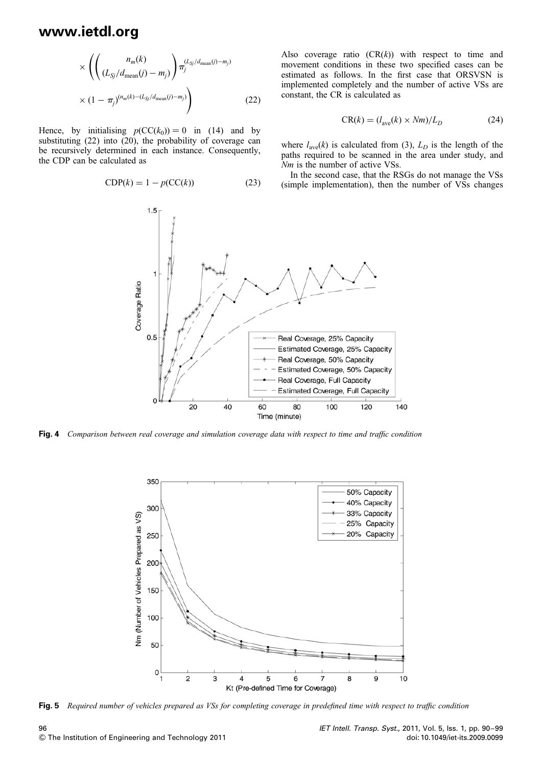$$
\times \left( \left( \frac{n_m(k)}{(L_{Sj}/d_{\text{mean}}(j) - m_j)} \right) \pi_j^{(L_{Sj}/d_{\text{mean}}(j) - m_j)} \times (1 - \pi_j)^{(n_m(k) - (L_{Sj}/d_{\text{mean}}(j) - m_j)} \right)
$$
(22)

Hence, by initialising  $p(CC(k_0)) = 0$  in (14) and by substituting (22) into (20), the probability of coverage can be recursively determined in each instance. Consequently, the CDP can be calculated as

$$
CDP(k) = 1 - p(CC(k))
$$
 (23)

Also coverage ratio  $(CR(k))$  with respect to time and movement conditions in these two specified cases can be estimated as follows. In the first case that ORSVSN is implemented completely and the number of active VSs are constant, the CR is calculated as

$$
CR(k) = (l_{ave}(k) \times Nm)/L_D \tag{24}
$$

where  $l_{\text{ave}}(k)$  is calculated from (3),  $L_D$  is the length of the paths required to be scanned in the area under study, and Nm is the number of active VSs.

In the second case, that the RSGs do not manage the VSs (simple implementation), then the number of VSs changes



Fig. 4 Comparison between real coverage and simulation coverage data with respect to time and traffic condition



Fig. 5 Required number of vehicles prepared as VSs for completing coverage in predefined time with respect to traffic condition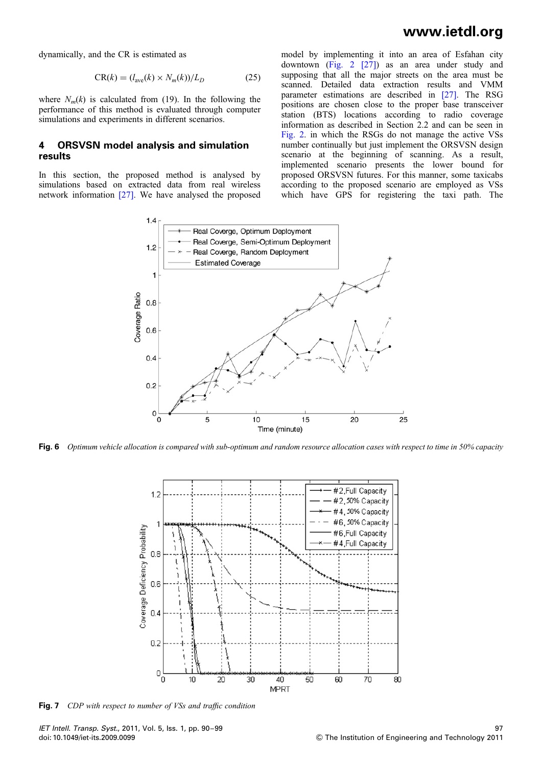dynamically, and the CR is estimated as

$$
CR(k) = (l_{ave}(k) \times N_m(k))/L_D \tag{25}
$$

where  $N_m(k)$  is calculated from (19). In the following the performance of this method is evaluated through computer simulations and experiments in different scenarios.

#### 4 ORSVSN model analysis and simulation results

In this section, the proposed method is analysed by simulations based on extracted data from real wireless network information [27]. We have analysed the proposed model by implementing it into an area of Esfahan city downtown (Fig. 2 [27]) as an area under study and supposing that all the major streets on the area must be scanned. Detailed data extraction results and VMM parameter estimations are described in [27]. The RSG positions are chosen close to the proper base transceiver station (BTS) locations according to radio coverage information as described in Section 2.2 and can be seen in Fig. 2. in which the RSGs do not manage the active VSs number continually but just implement the ORSVSN design scenario at the beginning of scanning. As a result, implemented scenario presents the lower bound for proposed ORSVSN futures. For this manner, some taxicabs according to the proposed scenario are employed as VSs which have GPS for registering the taxi path. The



Fig. 6 Optimum vehicle allocation is compared with sub-optimum and random resource allocation cases with respect to time in 50% capacity



Fig. 7 CDP with respect to number of VSs and traffic condition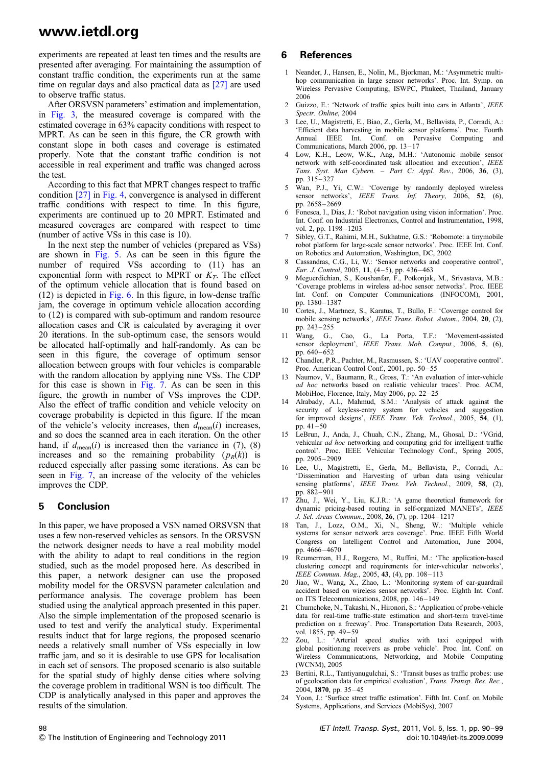experiments are repeated at least ten times and the results are presented after averaging. For maintaining the assumption of constant traffic condition, the experiments run at the same time on regular days and also practical data as [27] are used to observe traffic status.

After ORSVSN parameters' estimation and implementation, in Fig. 3, the measured coverage is compared with the estimated coverage in 63% capacity conditions with respect to MPRT. As can be seen in this figure, the CR growth with constant slope in both cases and coverage is estimated properly. Note that the constant traffic condition is not accessible in real experiment and traffic was changed across the test.

According to this fact that MPRT changes respect to traffic condition [27] in Fig. 4, convergence is analysed in different traffic conditions with respect to time. In this figure, experiments are continued up to 20 MPRT. Estimated and measured coverages are compared with respect to time (number of active VSs in this case is 10).

In the next step the number of vehicles (prepared as VSs) are shown in Fig. 5. As can be seen in this figure the number of required VSs according to (11) has an exponential form with respect to MPRT or  $K_T$ . The effect of the optimum vehicle allocation that is found based on  $(12)$  is depicted in Fig. 6. In this figure, in low-dense traffic jam, the coverage in optimum vehicle allocation according to (12) is compared with sub-optimum and random resource allocation cases and CR is calculated by averaging it over 20 iterations. In the sub-optimum case, the sensors would be allocated half-optimally and half-randomly. As can be seen in this figure, the coverage of optimum sensor allocation between groups with four vehicles is comparable with the random allocation by applying nine VSs. The CDP for this case is shown in Fig. 7. As can be seen in this figure, the growth in number of VSs improves the CDP. Also the effect of traffic condition and vehicle velocity on coverage probability is depicted in this figure. If the mean of the vehicle's velocity increases, then  $d_{\text{mean}}(i)$  increases, and so does the scanned area in each iteration. On the other hand, if  $d_{\text{mean}}(i)$  is increased then the variance in (7), (8) increases and so the remaining probability  $(p_R(k))$  is reduced especially after passing some iterations. As can be seen in Fig. 7, an increase of the velocity of the vehicles improves the CDP.

#### 5 Conclusion

In this paper, we have proposed a VSN named ORSVSN that uses a few non-reserved vehicles as sensors. In the ORSVSN the network designer needs to have a real mobility model with the ability to adapt to real conditions in the region studied, such as the model proposed here. As described in this paper, a network designer can use the proposed mobility model for the ORSVSN parameter calculation and performance analysis. The coverage problem has been studied using the analytical approach presented in this paper. Also the simple implementation of the proposed scenario is used to test and verify the analytical study. Experimental results induct that for large regions, the proposed scenario needs a relatively small number of VSs especially in low traffic jam, and so it is desirable to use GPS for localisation in each set of sensors. The proposed scenario is also suitable for the spatial study of highly dense cities where solving the coverage problem in traditional WSN is too difficult. The CDP is analytically analysed in this paper and approves the results of the simulation.

#### 6 References

- 1 Neander, J., Hansen, E., Nolin, M., Bjorkman, M.: 'Asymmetric multihop communication in large sensor networks'. Proc. Int. Symp. on Wireless Pervasive Computing, ISWPC, Phukeet, Thailand, January 2006
- 2 Guizzo, E.: 'Network of traffic spies built into cars in Atlanta', IEEE Spectr. Online, 2004
- 3 Lee, U., Magistretti, E., Biao, Z., Gerla, M., Bellavista, P., Corradi, A.: 'Efficient data harvesting in mobile sensor platforms'. Proc. Fourth Annual IEEE Int. Conf. on Pervasive Computing and Communications, March 2006, pp. 13– 17
- 4 Low, K.H., Leow, W.K., Ang, M.H.: 'Autonomic mobile sensor network with self-coordinated task allocation and execution', IEEE Tans. Syst. Man Cybern. – Part C: Appl. Rev., 2006, 36,  $(3)$ , pp. 315–327
- 5 Wan, P.J., Yi, C.W.: 'Coverage by randomly deployed wireless sensor networks', IEEE Trans. Inf. Theory, 2006, 52, (6), pp. 2658– 2669
- 6 Fonesca, I., Dias, J.: 'Robot navigation using vision information'. Proc. Int. Conf. on Industrial Electronics, Control and Instrumentation, 1998, vol. 2, pp. 1198–1203
- 7 Sibley, G.T., Rahimi, M.H., Sukhatme, G.S.: 'Robomote: a tinymobile robot platform for large-scale sensor networks'. Proc. IEEE Int. Conf. on Robotics and Automation, Washington, DC, 2002
- 8 Cassandras, C.G., Li, W.: 'Sensor networks and cooperative control', Eur. J. Control, 2005, 11,  $(4-5)$ , pp. 436-463
- 9 Meguerdichian, S., Koushanfar, F., Potkonjak, M., Srivastava, M.B.: 'Coverage problems in wireless ad-hoc sensor networks'. Proc. IEEE Int. Conf. on Computer Communications (INFOCOM), 2001, pp. 1380– 1387
- Cortes, J., Martınez, S., Karatus, T., Bullo, F.: 'Coverage control for mobile sensing networks', IEEE Trans. Robot. Autom., 2004, 20, (2), pp. 243–255
- 11 Wang, G., Cao, G., La Porta, T.F.: 'Movement-assisted sensor deployment', IEEE Trans. Mob. Comput., 2006, 5, (6), pp. 640–652
- 12 Chandler, P.R., Pachter, M., Rasmussen, S.: 'UAV cooperative control'. Proc. American Control Conf., 2001, pp. 50–55
- 13 Naumov, V., Baumann, R., Gross, T.: 'An evaluation of inter-vehicle ad hoc networks based on realistic vehicular traces'. Proc. ACM, MobiHoc, Florence, Italy, May 2006, pp. 22–25
- 14 Alrabady, A.I., Mahmud, S.M.: 'Analysis of attack against the security of keyless-entry system for vehicles and suggestion for improved designs', IEEE Trans. Veh. Technol., 2005, 54, (1), pp. 41–50
- 15 LeBrun, J., Anda, J., Chuah, C.N., Zhang, M., Ghosal, D.: 'VGrid, vehicular ad hoc networking and computing grid for intelligent traffic control'. Proc. IEEE Vehicular Technology Conf., Spring 2005, pp. 2905– 2909
- 16 Lee, U., Magistretti, E., Gerla, M., Bellavista, P., Corradi, A.: 'Dissemination and Harvesting of urban data using vehicular sensing platforms', IEEE Trans. Veh. Technol., 2009, 58, (2), pp. 882–901
- 17 Zhu, J., Wei, Y., Liu, K.J.R.: 'A game theoretical framework for dynamic pricing-based routing in self-organized MANETs', IEEE J. Sel. Areas Commun., 2008, 26, (7), pp. 1204–1217
- 18 Tan, J., Lozz, O.M., Xi, N., Sheng, W.: 'Multiple vehicle systems for sensor network area coverage'. Proc. IEEE Fifth World Congress on Intelligent Control and Automation, June 2004, pp. 4666– 4670
- 19 Reumerman, H.J., Roggero, M., Ruffini, M.: 'The application-based clustering concept and requirements for inter-vehicular networks', IEEE Commun. Mag., 2005, 43, (4), pp. 108–113
- 20 Jiao, W., Wang, X., Zhao, L.: 'Monitoring system of car-guardrail accident based on wireless sensor networks'. Proc. Eighth Int. Conf. on ITS Telecommunications, 2008, pp. 146–149
- Chumchoke, N., Takashi, N., Hironori, S.: 'Application of probe-vehicle data for real-time traffic-state estimation and short-term travel-time prediction on a freeway'. Proc. Transportation Data Research, 2003,
- vol. 1855, pp. 49–59<br>Zou, L.: 'Arterial 22 Zou, L.: 'Arterial speed studies with taxi equipped with global positioning receivers as probe vehicle'. Proc. Int. Conf. on Wireless Communications, Networking, and Mobile Computing (WCNM), 2005
- Bertini, R.L., Tantiyanugulchai, S.: 'Transit buses as traffic probes: use of geolocation data for empirical evaluation', Trans. Transp. Res. Rec., 2004, 1870, pp. 35– 45
- 24 Yoon, J.: 'Surface street traffic estimation'. Fifth Int. Conf. on Mobile Systems, Applications, and Services (MobiSys), 2007